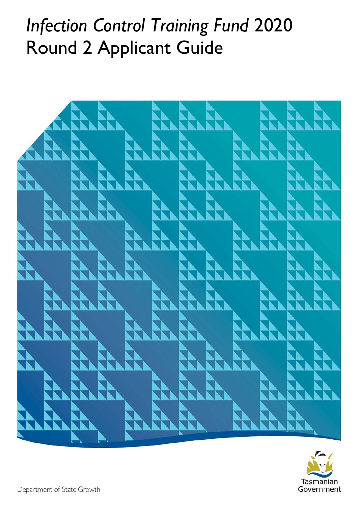# *Infection Control Training Fund* 2020 Round 2 Applicant Guide



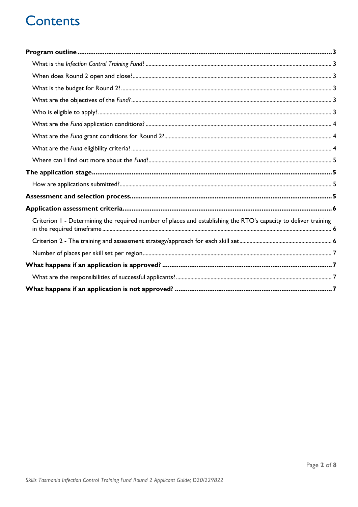### **Contents**

| Criterion 1 - Determining the required number of places and establishing the RTO's capacity to deliver training |  |
|-----------------------------------------------------------------------------------------------------------------|--|
|                                                                                                                 |  |
|                                                                                                                 |  |
|                                                                                                                 |  |
|                                                                                                                 |  |
|                                                                                                                 |  |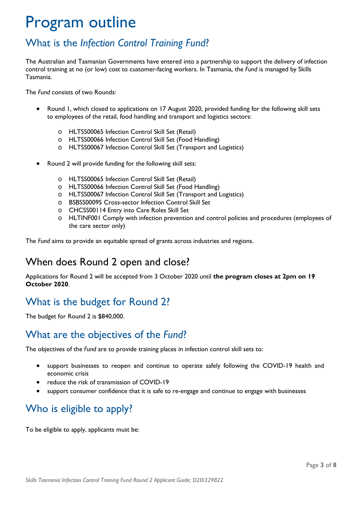## <span id="page-2-0"></span>Program outline

### <span id="page-2-1"></span>What is the *Infection Control Training Fund*?

The Australian and Tasmanian Governments have entered into a partnership to support the delivery of infection control training at no (or low) cost to customer-facing workers. In Tasmania, the *Fund* is managed by Skills Tasmania.

The *Fund* consists of two Rounds:

- Round 1, which closed to applications on 17 August 2020, provided funding for the following skill sets to employees of the retail, food handling and transport and logistics sectors:
	- o HLTSS00065 Infection Control Skill Set (Retail)
	- o HLTSS00066 Infection Control Skill Set (Food Handling)
	- o HLTSS00067 Infection Control Skill Set (Transport and Logistics)
- Round 2 will provide funding for the following skill sets:
	- o HLTSS00065 Infection Control Skill Set (Retail)
	- o HLTSS00066 Infection Control Skill Set (Food Handling)
	- o HLTSS00067 Infection Control Skill Set (Transport and Logistics)
	- o BSBSS00095 Cross-sector Infection Control Skill Set
	- o CHCSS00114 Entry into Care Roles Skill Set
	- o HLTINF001 Comply with infection prevention and control policies and procedures (employees of the care sector only)

The *Fund* aims to provide an equitable spread of grants across industries and regions.

#### <span id="page-2-2"></span>When does Round 2 open and close?

Applications for Round 2 will be accepted from 3 October 2020 until **the program closes at 2pm on 19 October 2020**.

### <span id="page-2-3"></span>What is the budget for Round 2?

The budget for Round 2 is \$840,000.

#### <span id="page-2-4"></span>What are the objectives of the *Fund*?

The objectives of the *Fund* are to provide training places in infection control skill sets to:

- support businesses to reopen and continue to operate safely following the COVID-19 health and economic crisis
- reduce the risk of transmission of COVID-19
- support consumer confidence that it is safe to re-engage and continue to engage with businesses

#### <span id="page-2-5"></span>Who is eligible to apply?

To be eligible to apply, applicants must be: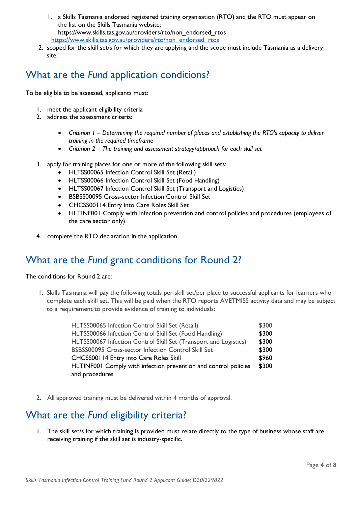- 1. a Skills Tasmania endorsed registered training organisation (RTO) and the RTO must appear on the list on the Skills Tasmania website: https://www.skills.tas.gov.au/providers/rto/non\_endorsed\_rtos [https://www.skills.tas.gov.au/providers/rto/non\\_endorsed\\_rtos](https://www.skills.tas.gov.au/providers/rto/non_endorsed_rtos)
- 2. scoped for the skill set/s for which they are applying and the scope must include Tasmania as a delivery site.

### <span id="page-3-0"></span>What are the *Fund* application conditions?

To be eligible to be assessed, applicants must:

- 1. meet the applicant eligibility criteria
- 2. address the assessment criteria:
	- *Criterion 1 – Determining the required number of places and establishing the RTO's capacity to deliver training in the required timeframe*
	- *Criterion 2 – The training and assessment strategy/approach for each skill set*
- 3. apply for training places for one or more of the following skill sets:
	- HLTSS00065 Infection Control Skill Set (Retail)
	- HLTSS00066 Infection Control Skill Set (Food Handling)
	- HLTSS00067 Infection Control Skill Set (Transport and Logistics)
	- BSBSS00095 Cross-sector Infection Control Skill Set
	- CHCSS00114 Entry into Care Roles Skill Set
	- HLTINF001 Comply with infection prevention and control policies and procedures (employees of the care sector only)
- 4. complete the RTO declaration in the application.

#### <span id="page-3-1"></span>What are the *Fund* grant conditions for Round 2?

The conditions for Round 2 are:

1. Skills Tasmania will pay the following totals per skill set/per place to successful applicants for learners who complete each skill set. This will be paid when the RTO reports AVETMISS activity data and may be subject to a requirement to provide evidence of training to individuals:

| HLTSS00065 Infection Control Skill Set (Retail)                  | \$300 |
|------------------------------------------------------------------|-------|
| HLTSS00066 Infection Control Skill Set (Food Handling)           | \$300 |
| HLTSS00067 Infection Control Skill Set (Transport and Logistics) | \$300 |
| BSBSS00095 Cross-sector Infection Control Skill Set              | \$300 |
| CHCSS00114 Entry into Care Roles Skill                           | \$960 |
| HLTINF001 Comply with infection prevention and control policies  | \$300 |
| and procedures                                                   |       |

2. All approved training must be delivered within 4 months of approval.

#### <span id="page-3-2"></span>What are the *Fund* eligibility criteria?

1. The skill set/s for which training is provided must relate directly to the type of business whose staff are receiving training if the skill set is industry-specific.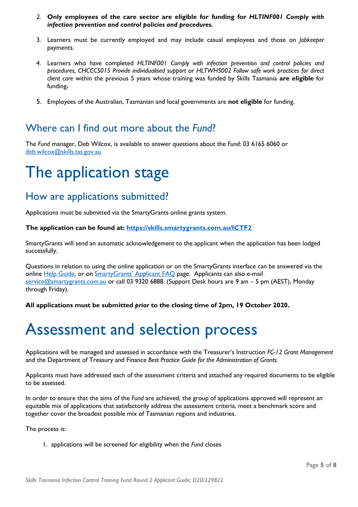- *2.* **Only employees of the care sector are eligible for funding for** *HLTINF001 Comply with infection prevention and control policies and procedures.*
- 3. Learners must be currently employed and may include casual employees and those on *Jobkeeper*  payments.
- 4. Learners who have completed *HLTINF001 Comply with infection prevention and control policies and procedures, CHCCCS015 Provide individualised support* or *HLTWHS002 Follow safe work practices for direct client care* within the previous 5 years whose training was funded by Skills Tasmania **are eligible** for funding**.**
- 5. Employees of the Australian, Tasmanian and local governments are **not eligible** for funding.

#### <span id="page-4-0"></span>Where can I find out more about the *Fund*?

The *Fund* manager, Deb Wilcox, is available to answer questions about the *Fund*: 03 6165 6060 or [deb.wilcox@skills.tas.gov.au](mailto:deb.wilcox@skills.tas.gov.au)

### <span id="page-4-1"></span>The application stage

#### <span id="page-4-2"></span>How are applications submitted?

Applications must be submitted via the SmartyGrants online grants system.

#### **The application can be found at:<https://skills.smartygrants.com.au/ICTF2>**

SmartyGrants will send an automatic acknowledgement to the applicant when the application has been lodged successfully.

Questions in relation to using the online application or on the SmartyGrants interface can be answered via the online [Help Guide,](https://help.smartygrants.com.au/resources/help-guide-for-applicants/) or on [SmartyGrants' Applicant FAQ](https://help.smartygrants.com.au/using-smartygrants/faq) page. Applicants can also e-mail [service@smartygrants.com.au](mailto:service@smartygrants.com.au) or call 03 9320 6888. (Support Desk hours are 9 am – 5 pm (AEST), Monday through Friday).

**All applications must be submitted** *prior* **to the closing time of 2pm, 19 October 2020.**

### <span id="page-4-3"></span>Assessment and selection process

Applications will be managed and assessed in accordance with the Treasurer's Instruction *FC-12 Grant Management*  and the Department of Treasury and Finance *Best Practice Guide for the Administration of Grants.*

Applicants must have addressed each of the assessment criteria and attached any required documents to be eligible to be assessed.

In order to ensure that the aims of the *Fund* are achieved, the group of applications approved will represent an equitable mix of applications that satisfactorily address the assessment criteria, meet a benchmark score and together cover the broadest possible mix of Tasmanian regions and industries.

The process is:

1. applications will be screened for eligibility when the *Fund* closes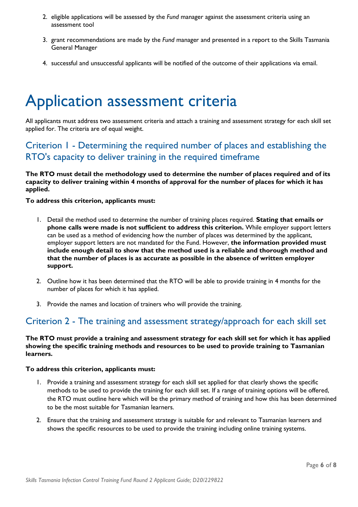- 2. eligible applications will be assessed by the *Fund* manager against the assessment criteria using an assessment tool
- 3. grant recommendations are made by the *Fund* manager and presented in a report to the Skills Tasmania General Manager
- 4. successful and unsuccessful applicants will be notified of the outcome of their applications via email.

### <span id="page-5-0"></span>Application assessment criteria

All applicants must address two assessment criteria and attach a training and assessment strategy for each skill set applied for. The criteria are of equal weight.

#### <span id="page-5-1"></span>Criterion 1 - Determining the required number of places and establishing the RTO's capacity to deliver training in the required timeframe

**The RTO must detail the methodology used to determine the number of places required and of its capacity to deliver training within 4 months of approval for the number of places for which it has applied.**

#### **To address this criterion, applicants must:**

- 1. Detail the method used to determine the number of training places required. **Stating that emails or phone calls were made is not sufficient to address this criterion.** While employer support letters can be used as a method of evidencing how the number of places was determined by the applicant, employer support letters are not mandated for the Fund. However, **the information provided must include enough detail to show that the method used is a reliable and thorough method and that the number of places is as accurate as possible in the absence of written employer support.**
- 2. Outline how it has been determined that the RTO will be able to provide training in 4 months for the number of places for which it has applied.
- 3. Provide the names and location of trainers who will provide the training.

#### <span id="page-5-2"></span>Criterion 2 - The training and assessment strategy/approach for each skill set

**The RTO must provide a training and assessment strategy for each skill set for which it has applied showing the specific training methods and resources to be used to provide training to Tasmanian learners.**

#### **To address this criterion, applicants must:**

- 1. Provide a training and assessment strategy for each skill set applied for that clearly shows the specific methods to be used to provide the training for each skill set. If a range of training options will be offered, the RTO must outline here which will be the primary method of training and how this has been determined to be the most suitable for Tasmanian learners.
- 2. Ensure that the training and assessment strategy is suitable for and relevant to Tasmanian learners and shows the specific resources to be used to provide the training including online training systems.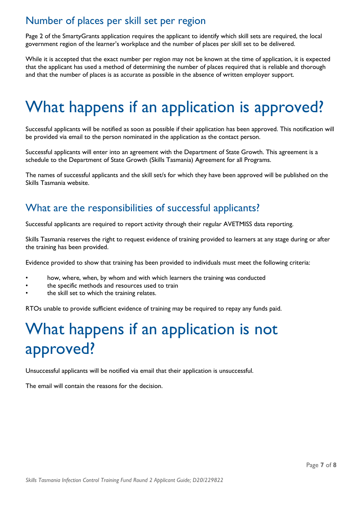### <span id="page-6-0"></span>Number of places per skill set per region

Page 2 of the SmartyGrants application requires the applicant to identify which skill sets are required, the local government region of the learner's workplace and the number of places per skill set to be delivered.

While it is accepted that the exact number per region may not be known at the time of application, it is expected that the applicant has used a method of determining the number of places required that is reliable and thorough and that the number of places is as accurate as possible in the absence of written employer support.

## <span id="page-6-1"></span>What happens if an application is approved?

Successful applicants will be notified as soon as possible if their application has been approved. This notification will be provided via email to the person nominated in the application as the contact person.

Successful applicants will enter into an agreement with the Department of State Growth. This agreement is a schedule to the Department of State Growth (Skills Tasmania) Agreement for all Programs.

The names of successful applicants and the skill set/s for which they have been approved will be published on the Skills Tasmania website.

#### <span id="page-6-2"></span>What are the responsibilities of successful applicants?

Successful applicants are required to report activity through their regular AVETMISS data reporting.

Skills Tasmania reserves the right to request evidence of training provided to learners at any stage during or after the training has been provided.

Evidence provided to show that training has been provided to individuals must meet the following criteria:

- how, where, when, by whom and with which learners the training was conducted
- the specific methods and resources used to train
- the skill set to which the training relates.

RTOs unable to provide sufficient evidence of training may be required to repay any funds paid.

## <span id="page-6-3"></span>What happens if an application is not approved?

Unsuccessful applicants will be notified via email that their application is unsuccessful.

The email will contain the reasons for the decision.